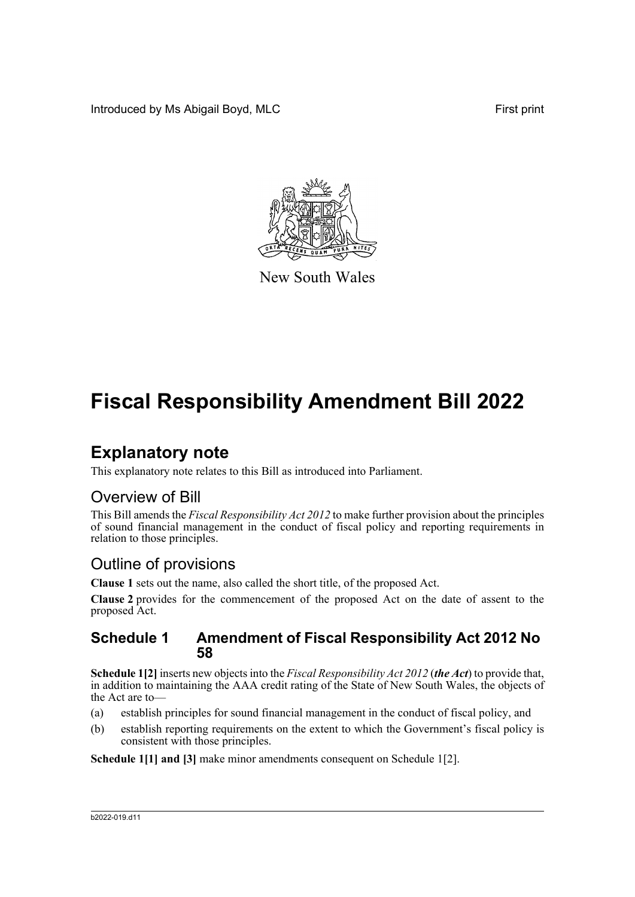Introduced by Ms Abigail Boyd, MLC **First print** 



New South Wales

# **Fiscal Responsibility Amendment Bill 2022**

## **Explanatory note**

This explanatory note relates to this Bill as introduced into Parliament.

#### Overview of Bill

This Bill amends the *Fiscal Responsibility Act 2012* to make further provision about the principles of sound financial management in the conduct of fiscal policy and reporting requirements in relation to those principles.

#### Outline of provisions

**Clause 1** sets out the name, also called the short title, of the proposed Act.

**Clause 2** provides for the commencement of the proposed Act on the date of assent to the proposed Act.

#### **Schedule 1 Amendment of Fiscal Responsibility Act 2012 No 58**

**Schedule 1[2]** inserts new objects into the *Fiscal Responsibility Act 2012* (*the Act*) to provide that, in addition to maintaining the AAA credit rating of the State of New South Wales, the objects of the Act are to—

- (a) establish principles for sound financial management in the conduct of fiscal policy, and
- (b) establish reporting requirements on the extent to which the Government's fiscal policy is consistent with those principles.

**Schedule 1[1] and [3]** make minor amendments consequent on Schedule 1[2].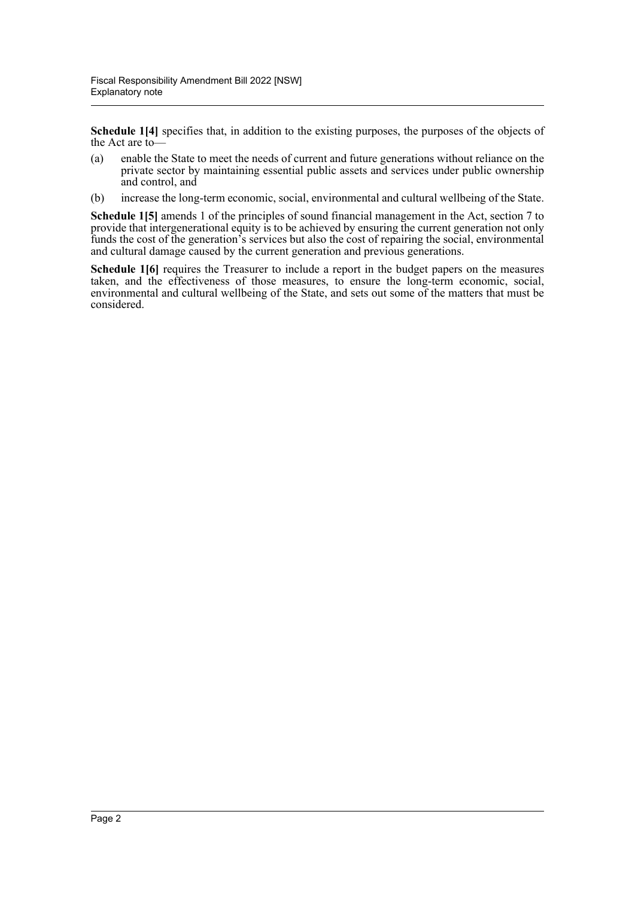**Schedule 1[4]** specifies that, in addition to the existing purposes, the purposes of the objects of the Act are to—

- (a) enable the State to meet the needs of current and future generations without reliance on the private sector by maintaining essential public assets and services under public ownership and control, and
- (b) increase the long-term economic, social, environmental and cultural wellbeing of the State.

**Schedule 1[5]** amends 1 of the principles of sound financial management in the Act, section 7 to provide that intergenerational equity is to be achieved by ensuring the current generation not only funds the cost of the generation's services but also the cost of repairing the social, environmental and cultural damage caused by the current generation and previous generations.

**Schedule 1[6]** requires the Treasurer to include a report in the budget papers on the measures taken, and the effectiveness of those measures, to ensure the long-term economic, social, environmental and cultural wellbeing of the State, and sets out some of the matters that must be considered.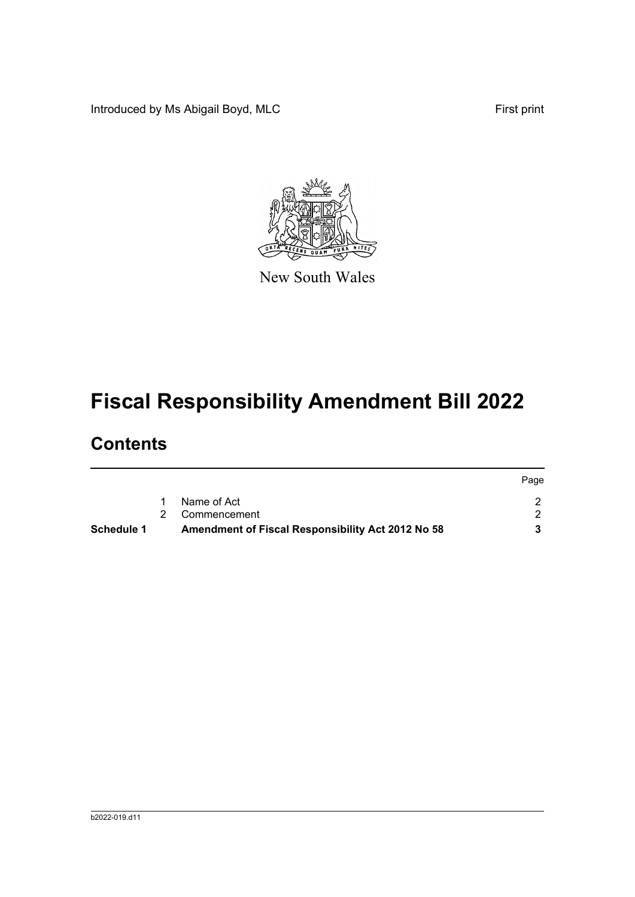Introduced by Ms Abigail Boyd, MLC **First print** 



New South Wales

# **Fiscal Responsibility Amendment Bill 2022**

## **Contents**

| Schedule 1 | Amendment of Fiscal Responsibility Act 2012 No 58 |      |
|------------|---------------------------------------------------|------|
|            | 2 Commencement                                    |      |
|            | Name of Act                                       |      |
|            |                                                   | Page |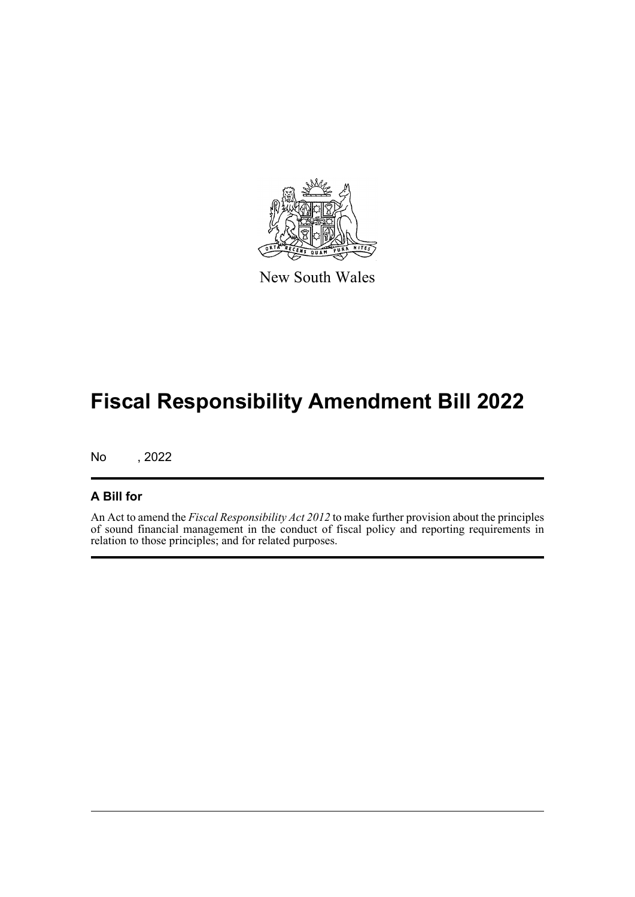

New South Wales

## **Fiscal Responsibility Amendment Bill 2022**

No , 2022

#### **A Bill for**

An Act to amend the *Fiscal Responsibility Act 2012* to make further provision about the principles of sound financial management in the conduct of fiscal policy and reporting requirements in relation to those principles; and for related purposes.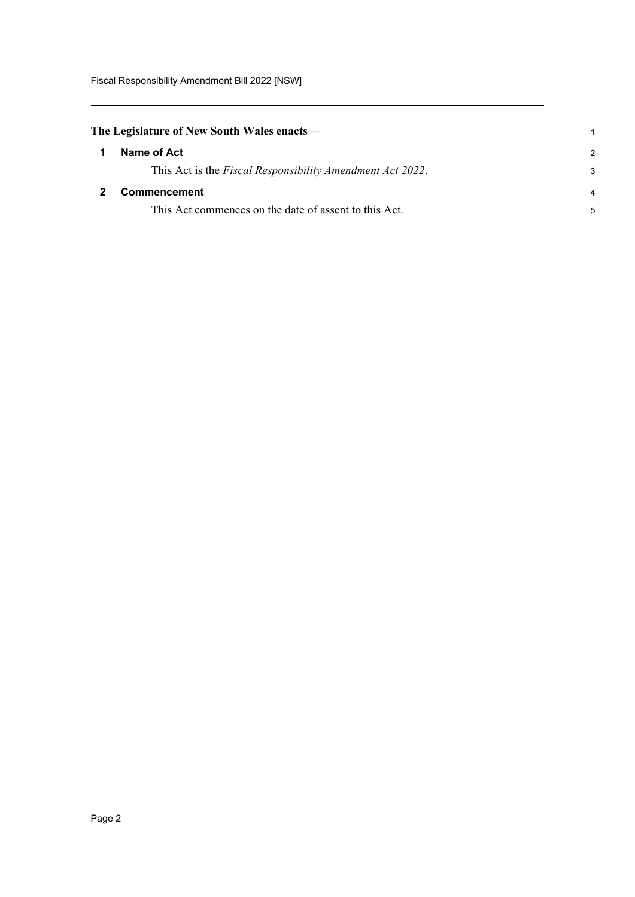<span id="page-4-0"></span>

| The Legislature of New South Wales enacts— |  |
|--------------------------------------------|--|
| Names of Ast                               |  |

<span id="page-4-1"></span>

|   | Name of Act                                                       |   |
|---|-------------------------------------------------------------------|---|
|   | This Act is the <i>Fiscal Responsibility Amendment Act 2022</i> . | 3 |
| 2 | <b>Commencement</b>                                               |   |
|   | This Act commences on the date of assent to this Act.             |   |

1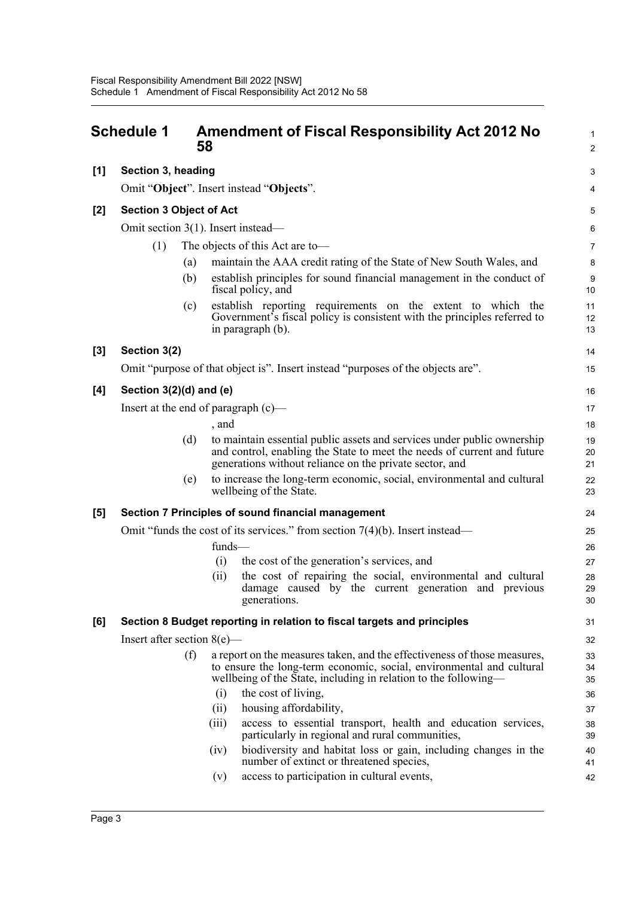<span id="page-5-0"></span>

|       | <b>Schedule 1</b>                      | 58     | <b>Amendment of Fiscal Responsibility Act 2012 No</b>                                                                                                                                                               | $\mathbf{1}$<br>$\overline{2}$ |  |
|-------|----------------------------------------|--------|---------------------------------------------------------------------------------------------------------------------------------------------------------------------------------------------------------------------|--------------------------------|--|
| [1]   | Section 3, heading                     |        |                                                                                                                                                                                                                     | 3                              |  |
|       |                                        |        | Omit "Object". Insert instead "Objects".                                                                                                                                                                            | 4                              |  |
| [2]   | <b>Section 3 Object of Act</b>         |        |                                                                                                                                                                                                                     | 5                              |  |
|       | Omit section $3(1)$ . Insert instead—  |        |                                                                                                                                                                                                                     | $\,6$                          |  |
|       | (1)<br>The objects of this Act are to- |        |                                                                                                                                                                                                                     |                                |  |
|       | (a)                                    |        | maintain the AAA credit rating of the State of New South Wales, and                                                                                                                                                 | $\overline{7}$<br>8            |  |
|       | (b)                                    |        | establish principles for sound financial management in the conduct of<br>fiscal policy, and                                                                                                                         | 9<br>10                        |  |
|       | (c)                                    |        | establish reporting requirements on the extent to which the<br>Government's fiscal policy is consistent with the principles referred to<br>in paragraph (b).                                                        | 11<br>12<br>13                 |  |
| $[3]$ | Section 3(2)                           |        |                                                                                                                                                                                                                     | 14                             |  |
|       |                                        |        | Omit "purpose of that object is". Insert instead "purposes of the objects are".                                                                                                                                     | 15                             |  |
| [4]   | Section $3(2)(d)$ and (e)              |        |                                                                                                                                                                                                                     | 16                             |  |
|       | Insert at the end of paragraph $(c)$ — |        |                                                                                                                                                                                                                     | 17                             |  |
|       |                                        | , and  |                                                                                                                                                                                                                     | 18                             |  |
|       | (d)                                    |        | to maintain essential public assets and services under public ownership<br>and control, enabling the State to meet the needs of current and future<br>generations without reliance on the private sector, and       | 19<br>20<br>21                 |  |
|       | (e)                                    |        | to increase the long-term economic, social, environmental and cultural<br>wellbeing of the State.                                                                                                                   | 22<br>23                       |  |
| [5]   |                                        |        | Section 7 Principles of sound financial management                                                                                                                                                                  | 24                             |  |
|       |                                        |        | Omit "funds the cost of its services." from section $7(4)(b)$ . Insert instead—                                                                                                                                     | 25                             |  |
|       |                                        | funds- |                                                                                                                                                                                                                     | 26                             |  |
|       |                                        | (i)    | the cost of the generation's services, and                                                                                                                                                                          | 27                             |  |
|       |                                        | (ii)   | the cost of repairing the social, environmental and cultural<br>damage caused by the current generation and previous<br>generations.                                                                                | 28<br>29<br>30                 |  |
| [6]   |                                        |        | Section 8 Budget reporting in relation to fiscal targets and principles                                                                                                                                             | 31                             |  |
|       | Insert after section $8(e)$ —          |        |                                                                                                                                                                                                                     | 32                             |  |
|       | (f)                                    |        | a report on the measures taken, and the effectiveness of those measures,<br>to ensure the long-term economic, social, environmental and cultural<br>wellbeing of the State, including in relation to the following— | 33<br>34<br>35                 |  |
|       |                                        | (i)    | the cost of living,                                                                                                                                                                                                 | 36                             |  |
|       |                                        | (ii)   | housing affordability,                                                                                                                                                                                              | 37                             |  |
|       |                                        | (iii)  | access to essential transport, health and education services,<br>particularly in regional and rural communities,                                                                                                    | 38<br>39                       |  |
|       |                                        | (iv)   | biodiversity and habitat loss or gain, including changes in the<br>number of extinct or threatened species,                                                                                                         | 40<br>41                       |  |
|       |                                        | (v)    | access to participation in cultural events,                                                                                                                                                                         | 42                             |  |